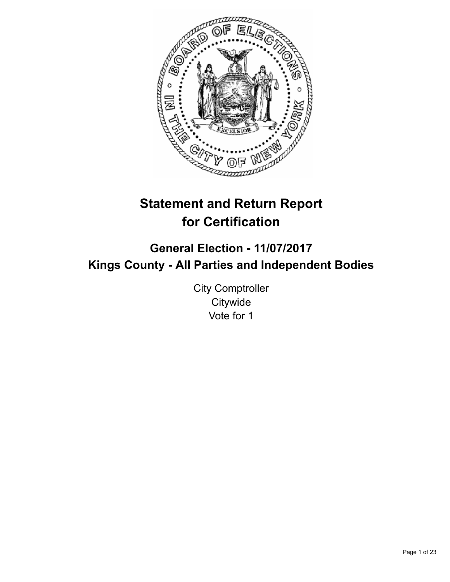

# **Statement and Return Report for Certification**

# **General Election - 11/07/2017 Kings County - All Parties and Independent Bodies**

City Comptroller **Citywide** Vote for 1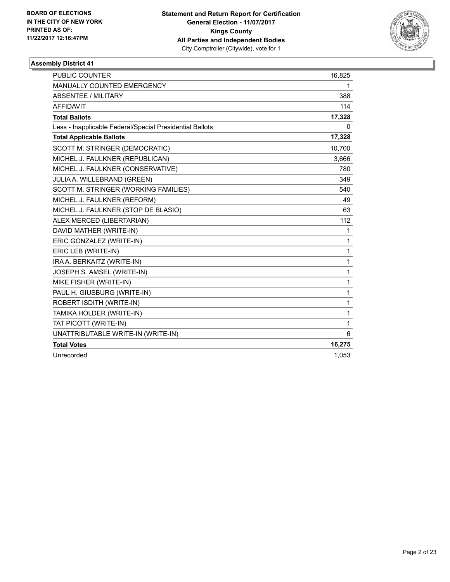

| <b>PUBLIC COUNTER</b>                                    | 16,825       |
|----------------------------------------------------------|--------------|
| <b>MANUALLY COUNTED EMERGENCY</b>                        | 1            |
| <b>ABSENTEE / MILITARY</b>                               | 388          |
| <b>AFFIDAVIT</b>                                         | 114          |
| <b>Total Ballots</b>                                     | 17,328       |
| Less - Inapplicable Federal/Special Presidential Ballots | $\mathbf{0}$ |
| <b>Total Applicable Ballots</b>                          | 17,328       |
| SCOTT M. STRINGER (DEMOCRATIC)                           | 10,700       |
| MICHEL J. FAULKNER (REPUBLICAN)                          | 3,666        |
| MICHEL J. FAULKNER (CONSERVATIVE)                        | 780          |
| JULIA A. WILLEBRAND (GREEN)                              | 349          |
| SCOTT M. STRINGER (WORKING FAMILIES)                     | 540          |
| MICHEL J. FAULKNER (REFORM)                              | 49           |
| MICHEL J. FAULKNER (STOP DE BLASIO)                      | 63           |
| ALEX MERCED (LIBERTARIAN)                                | 112          |
| DAVID MATHER (WRITE-IN)                                  | 1            |
| ERIC GONZALEZ (WRITE-IN)                                 | 1            |
| ERIC LEB (WRITE-IN)                                      | 1            |
| IRA A. BERKAITZ (WRITE-IN)                               | 1            |
| JOSEPH S. AMSEL (WRITE-IN)                               | 1            |
| MIKE FISHER (WRITE-IN)                                   | 1            |
| PAUL H. GIUSBURG (WRITE-IN)                              | 1            |
| ROBERT ISDITH (WRITE-IN)                                 | 1            |
| TAMIKA HOLDER (WRITE-IN)                                 | 1            |
| TAT PICOTT (WRITE-IN)                                    | 1            |
| UNATTRIBUTABLE WRITE-IN (WRITE-IN)                       | 6            |
| <b>Total Votes</b>                                       | 16,275       |
| Unrecorded                                               | 1,053        |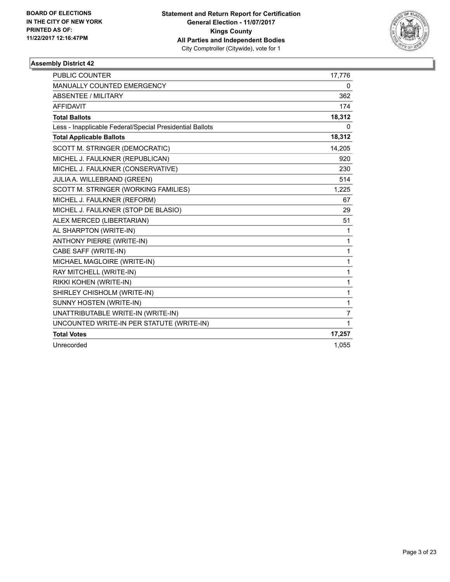

| <b>PUBLIC COUNTER</b>                                    | 17,776       |
|----------------------------------------------------------|--------------|
| MANUALLY COUNTED EMERGENCY                               | 0            |
| <b>ABSENTEE / MILITARY</b>                               | 362          |
| <b>AFFIDAVIT</b>                                         | 174          |
| <b>Total Ballots</b>                                     | 18,312       |
| Less - Inapplicable Federal/Special Presidential Ballots | 0            |
| <b>Total Applicable Ballots</b>                          | 18,312       |
| SCOTT M. STRINGER (DEMOCRATIC)                           | 14,205       |
| MICHEL J. FAULKNER (REPUBLICAN)                          | 920          |
| MICHEL J. FAULKNER (CONSERVATIVE)                        | 230          |
| JULIA A. WILLEBRAND (GREEN)                              | 514          |
| SCOTT M. STRINGER (WORKING FAMILIES)                     | 1,225        |
| MICHEL J. FAULKNER (REFORM)                              | 67           |
| MICHEL J. FAULKNER (STOP DE BLASIO)                      | 29           |
| ALEX MERCED (LIBERTARIAN)                                | 51           |
| AL SHARPTON (WRITE-IN)                                   | 1            |
| <b>ANTHONY PIERRE (WRITE-IN)</b>                         | 1            |
| CABE SAFF (WRITE-IN)                                     | $\mathbf{1}$ |
| MICHAEL MAGLOIRE (WRITE-IN)                              | $\mathbf{1}$ |
| RAY MITCHELL (WRITE-IN)                                  | 1            |
| RIKKI KOHEN (WRITE-IN)                                   | 1            |
| SHIRLEY CHISHOLM (WRITE-IN)                              | $\mathbf{1}$ |
| SUNNY HOSTEN (WRITE-IN)                                  | 1            |
| UNATTRIBUTABLE WRITE-IN (WRITE-IN)                       | 7            |
| UNCOUNTED WRITE-IN PER STATUTE (WRITE-IN)                | 1            |
| <b>Total Votes</b>                                       | 17,257       |
| Unrecorded                                               | 1,055        |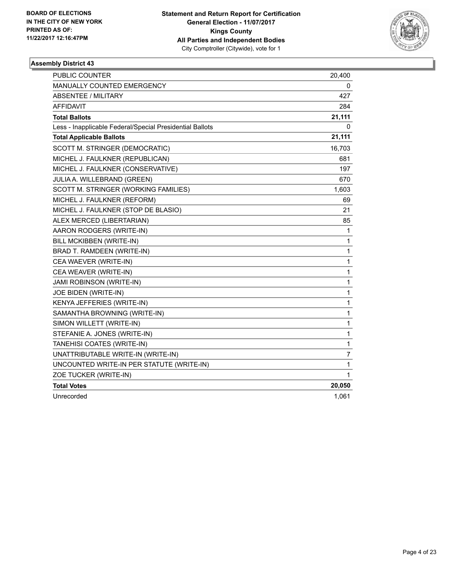

| <b>PUBLIC COUNTER</b>                                    | 20,400 |
|----------------------------------------------------------|--------|
| MANUALLY COUNTED EMERGENCY                               | 0      |
| <b>ABSENTEE / MILITARY</b>                               | 427    |
| AFFIDAVIT                                                | 284    |
| <b>Total Ballots</b>                                     | 21,111 |
| Less - Inapplicable Federal/Special Presidential Ballots | 0      |
| <b>Total Applicable Ballots</b>                          | 21,111 |
| SCOTT M. STRINGER (DEMOCRATIC)                           | 16,703 |
| MICHEL J. FAULKNER (REPUBLICAN)                          | 681    |
| MICHEL J. FAULKNER (CONSERVATIVE)                        | 197    |
| JULIA A. WILLEBRAND (GREEN)                              | 670    |
| SCOTT M. STRINGER (WORKING FAMILIES)                     | 1,603  |
| MICHEL J. FAULKNER (REFORM)                              | 69     |
| MICHEL J. FAULKNER (STOP DE BLASIO)                      | 21     |
| ALEX MERCED (LIBERTARIAN)                                | 85     |
| AARON RODGERS (WRITE-IN)                                 | 1      |
| BILL MCKIBBEN (WRITE-IN)                                 | 1      |
| BRAD T. RAMDEEN (WRITE-IN)                               | 1      |
| CEA WAEVER (WRITE-IN)                                    | 1      |
| CEA WEAVER (WRITE-IN)                                    | 1      |
| <b>JAMI ROBINSON (WRITE-IN)</b>                          | 1      |
| JOE BIDEN (WRITE-IN)                                     | 1      |
| KENYA JEFFERIES (WRITE-IN)                               | 1      |
| SAMANTHA BROWNING (WRITE-IN)                             | 1      |
| SIMON WILLETT (WRITE-IN)                                 | 1      |
| STEFANIE A. JONES (WRITE-IN)                             | 1      |
| TANEHISI COATES (WRITE-IN)                               | 1      |
| UNATTRIBUTABLE WRITE-IN (WRITE-IN)                       | 7      |
| UNCOUNTED WRITE-IN PER STATUTE (WRITE-IN)                | 1      |
| ZOE TUCKER (WRITE-IN)                                    | 1      |
| <b>Total Votes</b>                                       | 20,050 |
| Unrecorded                                               | 1.061  |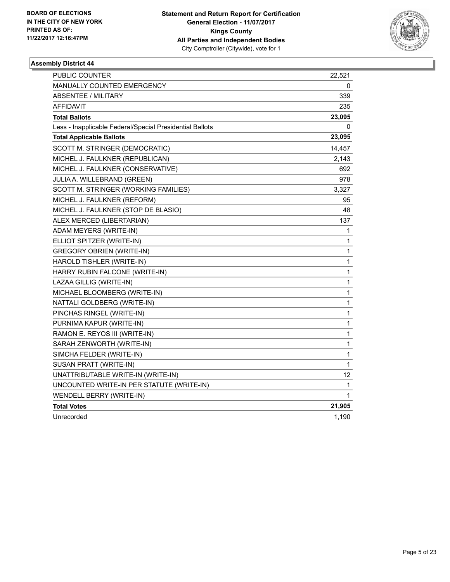

| <b>PUBLIC COUNTER</b>                                    | 22,521       |
|----------------------------------------------------------|--------------|
| MANUALLY COUNTED EMERGENCY                               | 0            |
| ABSENTEE / MILITARY                                      | 339          |
| <b>AFFIDAVIT</b>                                         | 235          |
| <b>Total Ballots</b>                                     | 23,095       |
| Less - Inapplicable Federal/Special Presidential Ballots | 0            |
| <b>Total Applicable Ballots</b>                          | 23,095       |
| SCOTT M. STRINGER (DEMOCRATIC)                           | 14,457       |
| MICHEL J. FAULKNER (REPUBLICAN)                          | 2,143        |
| MICHEL J. FAULKNER (CONSERVATIVE)                        | 692          |
| JULIA A. WILLEBRAND (GREEN)                              | 978          |
| SCOTT M. STRINGER (WORKING FAMILIES)                     | 3,327        |
| MICHEL J. FAULKNER (REFORM)                              | 95           |
| MICHEL J. FAULKNER (STOP DE BLASIO)                      | 48           |
| ALEX MERCED (LIBERTARIAN)                                | 137          |
| ADAM MEYERS (WRITE-IN)                                   | 1            |
| ELLIOT SPITZER (WRITE-IN)                                | 1            |
| <b>GREGORY OBRIEN (WRITE-IN)</b>                         | 1            |
| HAROLD TISHLER (WRITE-IN)                                | 1            |
| HARRY RUBIN FALCONE (WRITE-IN)                           | 1            |
| LAZAA GILLIG (WRITE-IN)                                  | $\mathbf{1}$ |
| MICHAEL BLOOMBERG (WRITE-IN)                             | 1            |
| NATTALI GOLDBERG (WRITE-IN)                              | 1            |
| PINCHAS RINGEL (WRITE-IN)                                | 1            |
| PURNIMA KAPUR (WRITE-IN)                                 | 1            |
| RAMON E. REYOS III (WRITE-IN)                            | $\mathbf{1}$ |
| SARAH ZENWORTH (WRITE-IN)                                | $\mathbf{1}$ |
| SIMCHA FELDER (WRITE-IN)                                 | 1            |
| SUSAN PRATT (WRITE-IN)                                   | 1            |
| UNATTRIBUTABLE WRITE-IN (WRITE-IN)                       | 12           |
| UNCOUNTED WRITE-IN PER STATUTE (WRITE-IN)                | 1            |
| <b>WENDELL BERRY (WRITE-IN)</b>                          | 1            |
| <b>Total Votes</b>                                       | 21,905       |
| Unrecorded                                               | 1,190        |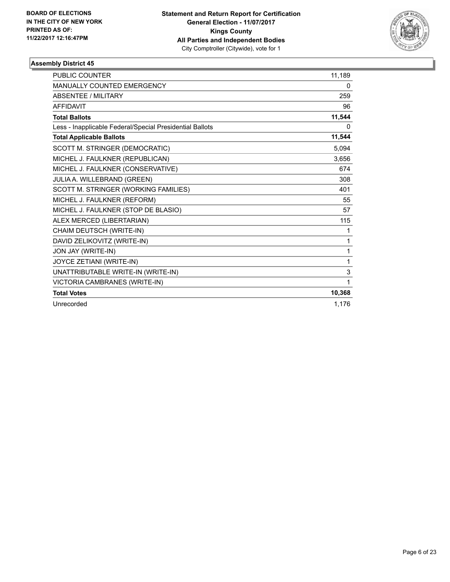

| <b>PUBLIC COUNTER</b>                                    | 11,189 |
|----------------------------------------------------------|--------|
| <b>MANUALLY COUNTED EMERGENCY</b>                        | 0      |
| <b>ABSENTEE / MILITARY</b>                               | 259    |
| <b>AFFIDAVIT</b>                                         | 96     |
| <b>Total Ballots</b>                                     | 11,544 |
| Less - Inapplicable Federal/Special Presidential Ballots | 0      |
| <b>Total Applicable Ballots</b>                          | 11,544 |
| SCOTT M. STRINGER (DEMOCRATIC)                           | 5,094  |
| MICHEL J. FAULKNER (REPUBLICAN)                          | 3,656  |
| MICHEL J. FAULKNER (CONSERVATIVE)                        | 674    |
| JULIA A. WILLEBRAND (GREEN)                              | 308    |
| SCOTT M. STRINGER (WORKING FAMILIES)                     | 401    |
| MICHEL J. FAULKNER (REFORM)                              | 55     |
| MICHEL J. FAULKNER (STOP DE BLASIO)                      | 57     |
| ALEX MERCED (LIBERTARIAN)                                | 115    |
| CHAIM DEUTSCH (WRITE-IN)                                 | 1      |
| DAVID ZELIKOVITZ (WRITE-IN)                              | 1      |
| JON JAY (WRITE-IN)                                       | 1      |
| JOYCE ZETIANI (WRITE-IN)                                 | 1      |
| UNATTRIBUTABLE WRITE-IN (WRITE-IN)                       | 3      |
| VICTORIA CAMBRANES (WRITE-IN)                            | 1      |
| <b>Total Votes</b>                                       | 10,368 |
| Unrecorded                                               | 1,176  |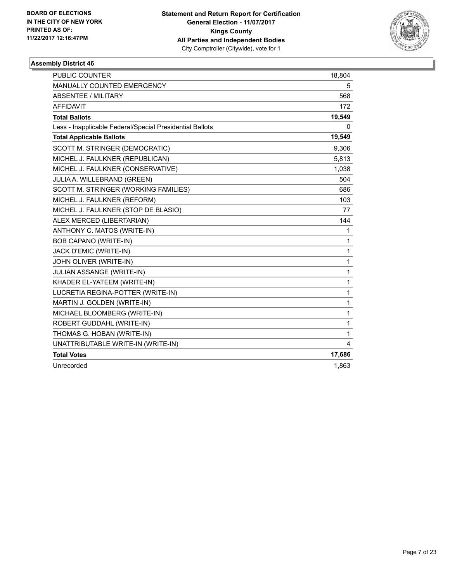

| <b>PUBLIC COUNTER</b>                                    | 18,804 |
|----------------------------------------------------------|--------|
| <b>MANUALLY COUNTED EMERGENCY</b>                        | 5      |
| <b>ABSENTEE / MILITARY</b>                               | 568    |
| <b>AFFIDAVIT</b>                                         | 172    |
| <b>Total Ballots</b>                                     | 19,549 |
| Less - Inapplicable Federal/Special Presidential Ballots | 0      |
| <b>Total Applicable Ballots</b>                          | 19,549 |
| SCOTT M. STRINGER (DEMOCRATIC)                           | 9,306  |
| MICHEL J. FAULKNER (REPUBLICAN)                          | 5,813  |
| MICHEL J. FAULKNER (CONSERVATIVE)                        | 1,038  |
| JULIA A. WILLEBRAND (GREEN)                              | 504    |
| SCOTT M. STRINGER (WORKING FAMILIES)                     | 686    |
| MICHEL J. FAULKNER (REFORM)                              | 103    |
| MICHEL J. FAULKNER (STOP DE BLASIO)                      | 77     |
| ALEX MERCED (LIBERTARIAN)                                | 144    |
| ANTHONY C. MATOS (WRITE-IN)                              | 1      |
| BOB CAPANO (WRITE-IN)                                    | 1      |
| JACK D'EMIC (WRITE-IN)                                   | 1      |
| JOHN OLIVER (WRITE-IN)                                   | 1      |
| JULIAN ASSANGE (WRITE-IN)                                | 1      |
| KHADER EL-YATEEM (WRITE-IN)                              | 1      |
| LUCRETIA REGINA-POTTER (WRITE-IN)                        | 1      |
| MARTIN J. GOLDEN (WRITE-IN)                              | 1      |
| MICHAEL BLOOMBERG (WRITE-IN)                             | 1      |
| ROBERT GUDDAHL (WRITE-IN)                                | 1      |
| THOMAS G. HOBAN (WRITE-IN)                               | 1      |
| UNATTRIBUTABLE WRITE-IN (WRITE-IN)                       | 4      |
| <b>Total Votes</b>                                       | 17,686 |
| Unrecorded                                               | 1,863  |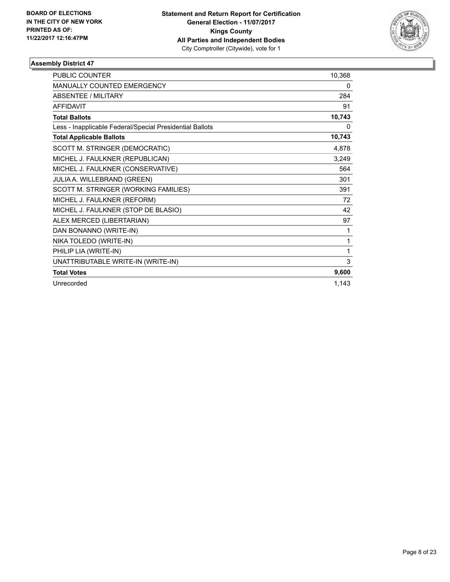

| <b>PUBLIC COUNTER</b>                                    | 10,368 |
|----------------------------------------------------------|--------|
| MANUALLY COUNTED EMERGENCY                               | 0      |
| <b>ABSENTEE / MILITARY</b>                               | 284    |
| <b>AFFIDAVIT</b>                                         | 91     |
| <b>Total Ballots</b>                                     | 10,743 |
| Less - Inapplicable Federal/Special Presidential Ballots | 0      |
| <b>Total Applicable Ballots</b>                          | 10,743 |
| SCOTT M. STRINGER (DEMOCRATIC)                           | 4,878  |
| MICHEL J. FAULKNER (REPUBLICAN)                          | 3,249  |
| MICHEL J. FAULKNER (CONSERVATIVE)                        | 564    |
| JULIA A. WILLEBRAND (GREEN)                              | 301    |
| SCOTT M. STRINGER (WORKING FAMILIES)                     | 391    |
| MICHEL J. FAULKNER (REFORM)                              | 72     |
| MICHEL J. FAULKNER (STOP DE BLASIO)                      | 42     |
| ALEX MERCED (LIBERTARIAN)                                | 97     |
| DAN BONANNO (WRITE-IN)                                   | 1      |
| NIKA TOLEDO (WRITE-IN)                                   | 1      |
| PHILIP LIA (WRITE-IN)                                    | 1      |
| UNATTRIBUTABLE WRITE-IN (WRITE-IN)                       | 3      |
| <b>Total Votes</b>                                       | 9,600  |
| Unrecorded                                               | 1,143  |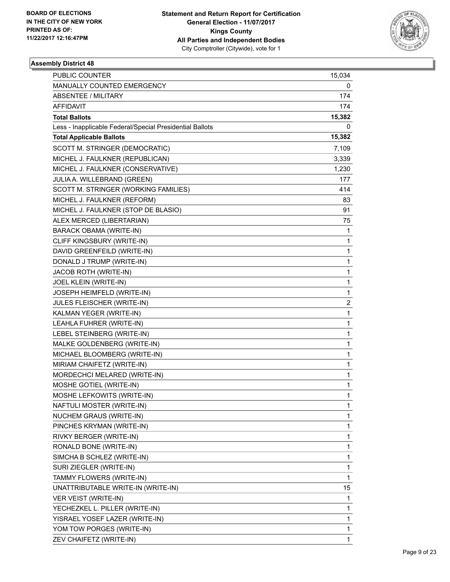

| <b>PUBLIC COUNTER</b>                                    | 15,034       |
|----------------------------------------------------------|--------------|
| MANUALLY COUNTED EMERGENCY                               | 0            |
| <b>ABSENTEE / MILITARY</b>                               | 174          |
| AFFIDAVIT                                                | 174          |
| <b>Total Ballots</b>                                     | 15,382       |
| Less - Inapplicable Federal/Special Presidential Ballots | 0            |
| <b>Total Applicable Ballots</b>                          | 15,382       |
| SCOTT M. STRINGER (DEMOCRATIC)                           | 7,109        |
| MICHEL J. FAULKNER (REPUBLICAN)                          | 3,339        |
| MICHEL J. FAULKNER (CONSERVATIVE)                        | 1,230        |
| JULIA A. WILLEBRAND (GREEN)                              | 177          |
| SCOTT M. STRINGER (WORKING FAMILIES)                     | 414          |
| MICHEL J. FAULKNER (REFORM)                              | 83           |
| MICHEL J. FAULKNER (STOP DE BLASIO)                      | 91           |
| ALEX MERCED (LIBERTARIAN)                                | 75           |
| BARACK OBAMA (WRITE-IN)                                  | 1            |
| CLIFF KINGSBURY (WRITE-IN)                               | 1            |
| DAVID GREENFEILD (WRITE-IN)                              | 1            |
| DONALD J TRUMP (WRITE-IN)                                | 1            |
| JACOB ROTH (WRITE-IN)                                    | 1            |
| JOEL KLEIN (WRITE-IN)                                    | 1            |
| JOSEPH HEIMFELD (WRITE-IN)                               | 1            |
| JULES FLEISCHER (WRITE-IN)                               | 2            |
| KALMAN YEGER (WRITE-IN)                                  | $\mathbf{1}$ |
| LEAHLA FUHRER (WRITE-IN)                                 | 1            |
| LEBEL STEINBERG (WRITE-IN)                               | 1            |
| MALKE GOLDENBERG (WRITE-IN)                              | 1            |
| MICHAEL BLOOMBERG (WRITE-IN)                             | 1            |
| MIRIAM CHAIFETZ (WRITE-IN)                               | 1            |
| MORDECHCI MELARED (WRITE-IN)                             | 1            |
| MOSHE GOTIEL (WRITE-IN)                                  | $\mathbf{1}$ |
| MOSHE LEFKOWITS (WRITE-IN)                               | $\mathbf{1}$ |
| NAFTULI MOSTER (WRITE-IN)                                | 1            |
| <b>NUCHEM GRAUS (WRITE-IN)</b>                           | 1            |
| PINCHES KRYMAN (WRITE-IN)                                | 1            |
| RIVKY BERGER (WRITE-IN)                                  | 1            |
| RONALD BONE (WRITE-IN)                                   | 1            |
| SIMCHA B SCHLEZ (WRITE-IN)                               | 1            |
| SURI ZIEGLER (WRITE-IN)                                  | 1            |
| TAMMY FLOWERS (WRITE-IN)                                 | 1            |
| UNATTRIBUTABLE WRITE-IN (WRITE-IN)                       | 15           |
| VER VEIST (WRITE-IN)                                     | 1            |
| YECHEZKEL L. PILLER (WRITE-IN)                           | 1            |
| YISRAEL YOSEF LAZER (WRITE-IN)                           | 1            |
| YOM TOW PORGES (WRITE-IN)                                | 1            |
| ZEV CHAIFETZ (WRITE-IN)                                  | $\mathbf{1}$ |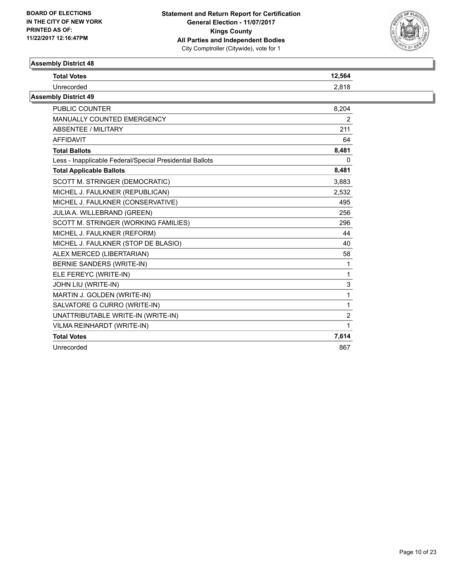

| Assembly District 48                                     |                |
|----------------------------------------------------------|----------------|
| <b>Total Votes</b>                                       | 12,564         |
| Unrecorded                                               | 2,818          |
| <b>Assembly District 49</b>                              |                |
| <b>PUBLIC COUNTER</b>                                    | 8,204          |
| MANUALLY COUNTED EMERGENCY                               | 2              |
| <b>ABSENTEE / MILITARY</b>                               | 211            |
| <b>AFFIDAVIT</b>                                         | 64             |
| <b>Total Ballots</b>                                     | 8,481          |
| Less - Inapplicable Federal/Special Presidential Ballots | 0              |
| <b>Total Applicable Ballots</b>                          | 8,481          |
| SCOTT M. STRINGER (DEMOCRATIC)                           | 3,883          |
| MICHEL J. FAULKNER (REPUBLICAN)                          | 2,532          |
| MICHEL J. FAULKNER (CONSERVATIVE)                        | 495            |
| JULIA A. WILLEBRAND (GREEN)                              | 256            |
| SCOTT M. STRINGER (WORKING FAMILIES)                     | 296            |
| MICHEL J. FAULKNER (REFORM)                              | 44             |
| MICHEL J. FAULKNER (STOP DE BLASIO)                      | 40             |
| ALEX MERCED (LIBERTARIAN)                                | 58             |
| BERNIE SANDERS (WRITE-IN)                                |                |
| ELE FEREYC (WRITE-IN)                                    |                |
| JOHN LIU (WRITE-IN)                                      | 3              |
| MARTIN J. GOLDEN (WRITE-IN)                              |                |
| SALVATORE G CURRO (WRITE-IN)                             | 1              |
| UNATTRIBUTABLE WRITE-IN (WRITE-IN)                       | $\overline{2}$ |
| VILMA REINHARDT (WRITE-IN)                               |                |
| <b>Total Votes</b>                                       | 7,614          |
| Unrecorded                                               | 867            |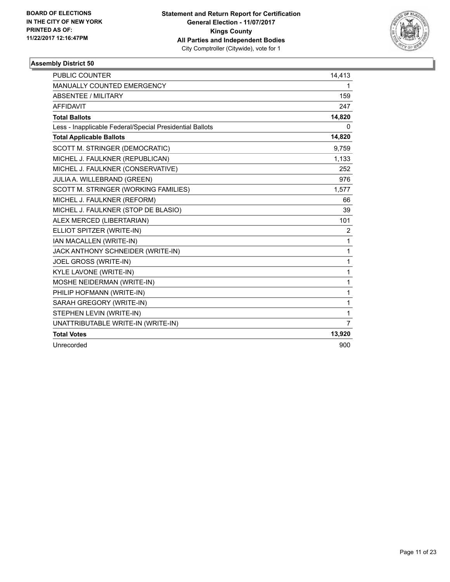

| <b>PUBLIC COUNTER</b>                                    | 14,413         |
|----------------------------------------------------------|----------------|
| MANUALLY COUNTED EMERGENCY                               | 1              |
| <b>ABSENTEE / MILITARY</b>                               | 159            |
| <b>AFFIDAVIT</b>                                         | 247            |
| <b>Total Ballots</b>                                     | 14,820         |
| Less - Inapplicable Federal/Special Presidential Ballots | 0              |
| <b>Total Applicable Ballots</b>                          | 14,820         |
| SCOTT M. STRINGER (DEMOCRATIC)                           | 9,759          |
| MICHEL J. FAULKNER (REPUBLICAN)                          | 1,133          |
| MICHEL J. FAULKNER (CONSERVATIVE)                        | 252            |
| JULIA A. WILLEBRAND (GREEN)                              | 976            |
| SCOTT M. STRINGER (WORKING FAMILIES)                     | 1,577          |
| MICHEL J. FAULKNER (REFORM)                              | 66             |
| MICHEL J. FAULKNER (STOP DE BLASIO)                      | 39             |
| ALEX MERCED (LIBERTARIAN)                                | 101            |
| ELLIOT SPITZER (WRITE-IN)                                | 2              |
| IAN MACALLEN (WRITE-IN)                                  | 1              |
| JACK ANTHONY SCHNEIDER (WRITE-IN)                        | 1              |
| JOEL GROSS (WRITE-IN)                                    | 1              |
| KYLE LAVONE (WRITE-IN)                                   | 1              |
| MOSHE NEIDERMAN (WRITE-IN)                               | 1              |
| PHILIP HOFMANN (WRITE-IN)                                | 1              |
| SARAH GREGORY (WRITE-IN)                                 | 1              |
| STEPHEN LEVIN (WRITE-IN)                                 | 1              |
| UNATTRIBUTABLE WRITE-IN (WRITE-IN)                       | $\overline{7}$ |
| <b>Total Votes</b>                                       | 13,920         |
| Unrecorded                                               | 900            |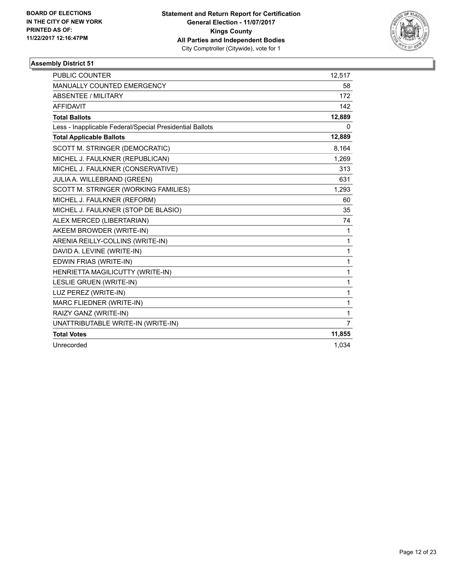

| PUBLIC COUNTER                                           | 12,517         |
|----------------------------------------------------------|----------------|
| MANUALLY COUNTED EMERGENCY                               | 58             |
| <b>ABSENTEE / MILITARY</b>                               | 172            |
| <b>AFFIDAVIT</b>                                         | 142            |
| <b>Total Ballots</b>                                     | 12,889         |
| Less - Inapplicable Federal/Special Presidential Ballots | 0              |
| <b>Total Applicable Ballots</b>                          | 12,889         |
| SCOTT M. STRINGER (DEMOCRATIC)                           | 8,164          |
| MICHEL J. FAULKNER (REPUBLICAN)                          | 1,269          |
| MICHEL J. FAULKNER (CONSERVATIVE)                        | 313            |
| JULIA A. WILLEBRAND (GREEN)                              | 631            |
| SCOTT M. STRINGER (WORKING FAMILIES)                     | 1,293          |
| MICHEL J. FAULKNER (REFORM)                              | 60             |
| MICHEL J. FAULKNER (STOP DE BLASIO)                      | 35             |
| ALEX MERCED (LIBERTARIAN)                                | 74             |
| AKEEM BROWDER (WRITE-IN)                                 | 1              |
| ARENIA REILLY-COLLINS (WRITE-IN)                         | $\mathbf{1}$   |
| DAVID A. LEVINE (WRITE-IN)                               | $\mathbf{1}$   |
| EDWIN FRIAS (WRITE-IN)                                   | $\mathbf{1}$   |
| HENRIETTA MAGILICUTTY (WRITE-IN)                         | $\mathbf{1}$   |
| <b>LESLIE GRUEN (WRITE-IN)</b>                           | $\mathbf{1}$   |
| LUZ PEREZ (WRITE-IN)                                     | $\mathbf 1$    |
| MARC FLIEDNER (WRITE-IN)                                 | $\mathbf{1}$   |
| RAIZY GANZ (WRITE-IN)                                    | 1              |
| UNATTRIBUTABLE WRITE-IN (WRITE-IN)                       | $\overline{7}$ |
| <b>Total Votes</b>                                       | 11,855         |
| Unrecorded                                               | 1,034          |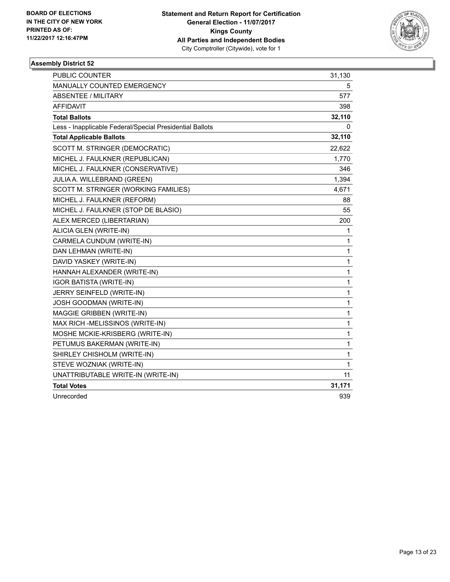

| <b>PUBLIC COUNTER</b>                                    | 31,130       |
|----------------------------------------------------------|--------------|
| MANUALLY COUNTED EMERGENCY                               | 5            |
| <b>ABSENTEE / MILITARY</b>                               | 577          |
| <b>AFFIDAVIT</b>                                         | 398          |
| <b>Total Ballots</b>                                     | 32,110       |
| Less - Inapplicable Federal/Special Presidential Ballots | 0            |
| <b>Total Applicable Ballots</b>                          | 32,110       |
| SCOTT M. STRINGER (DEMOCRATIC)                           | 22,622       |
| MICHEL J. FAULKNER (REPUBLICAN)                          | 1,770        |
| MICHEL J. FAULKNER (CONSERVATIVE)                        | 346          |
| JULIA A. WILLEBRAND (GREEN)                              | 1,394        |
| SCOTT M. STRINGER (WORKING FAMILIES)                     | 4,671        |
| MICHEL J. FAULKNER (REFORM)                              | 88           |
| MICHEL J. FAULKNER (STOP DE BLASIO)                      | 55           |
| ALEX MERCED (LIBERTARIAN)                                | 200          |
| ALICIA GLEN (WRITE-IN)                                   | 1            |
| CARMELA CUNDUM (WRITE-IN)                                | 1            |
| DAN LEHMAN (WRITE-IN)                                    | 1            |
| DAVID YASKEY (WRITE-IN)                                  | 1            |
| HANNAH ALEXANDER (WRITE-IN)                              | 1            |
| <b>IGOR BATISTA (WRITE-IN)</b>                           | 1            |
| JERRY SEINFELD (WRITE-IN)                                | 1            |
| JOSH GOODMAN (WRITE-IN)                                  | 1            |
| MAGGIE GRIBBEN (WRITE-IN)                                | 1            |
| MAX RICH -MELISSINOS (WRITE-IN)                          | 1            |
| MOSHE MCKIE-KRISBERG (WRITE-IN)                          | 1            |
| PETUMUS BAKERMAN (WRITE-IN)                              | 1            |
| SHIRLEY CHISHOLM (WRITE-IN)                              | 1            |
| STEVE WOZNIAK (WRITE-IN)                                 | $\mathbf{1}$ |
| UNATTRIBUTABLE WRITE-IN (WRITE-IN)                       | 11           |
| <b>Total Votes</b>                                       | 31,171       |
| Unrecorded                                               | 939          |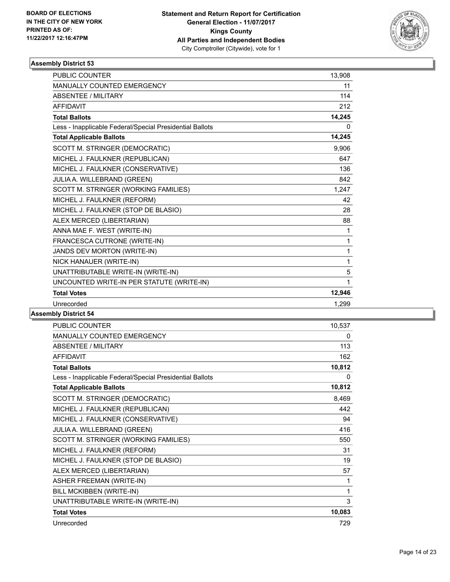

| <b>PUBLIC COUNTER</b>                                    | 13,908       |
|----------------------------------------------------------|--------------|
| MANUALLY COUNTED EMERGENCY                               | 11           |
| <b>ABSENTEE / MILITARY</b>                               | 114          |
| <b>AFFIDAVIT</b>                                         | 212          |
| <b>Total Ballots</b>                                     | 14,245       |
| Less - Inapplicable Federal/Special Presidential Ballots | 0            |
| <b>Total Applicable Ballots</b>                          | 14,245       |
| SCOTT M. STRINGER (DEMOCRATIC)                           | 9,906        |
| MICHEL J. FAULKNER (REPUBLICAN)                          | 647          |
| MICHEL J. FAULKNER (CONSERVATIVE)                        | 136          |
| JULIA A. WILLEBRAND (GREEN)                              | 842          |
| SCOTT M. STRINGER (WORKING FAMILIES)                     | 1,247        |
| MICHEL J. FAULKNER (REFORM)                              | 42           |
| MICHEL J. FAULKNER (STOP DE BLASIO)                      | 28           |
| ALEX MERCED (LIBERTARIAN)                                | 88           |
| ANNA MAE F. WEST (WRITE-IN)                              | 1            |
| FRANCESCA CUTRONE (WRITE-IN)                             | $\mathbf{1}$ |
| JANDS DEV MORTON (WRITE-IN)                              | 1            |
| NICK HANAUER (WRITE-IN)                                  | $\mathbf{1}$ |
| UNATTRIBUTABLE WRITE-IN (WRITE-IN)                       | 5            |
| UNCOUNTED WRITE-IN PER STATUTE (WRITE-IN)                | 1            |
| <b>Total Votes</b>                                       | 12,946       |
| Unrecorded                                               | 1,299        |
|                                                          |              |

| <b>PUBLIC COUNTER</b>                                    | 10,537 |
|----------------------------------------------------------|--------|
| MANUALLY COUNTED EMERGENCY                               | 0      |
| <b>ABSENTEE / MILITARY</b>                               | 113    |
| <b>AFFIDAVIT</b>                                         | 162    |
| <b>Total Ballots</b>                                     | 10,812 |
| Less - Inapplicable Federal/Special Presidential Ballots | 0      |
| <b>Total Applicable Ballots</b>                          | 10,812 |
| SCOTT M. STRINGER (DEMOCRATIC)                           | 8,469  |
| MICHEL J. FAULKNER (REPUBLICAN)                          | 442    |
| MICHEL J. FAULKNER (CONSERVATIVE)                        | 94     |
| JULIA A. WILLEBRAND (GREEN)                              | 416    |
| SCOTT M. STRINGER (WORKING FAMILIES)                     | 550    |
| MICHEL J. FAULKNER (REFORM)                              | 31     |
| MICHEL J. FAULKNER (STOP DE BLASIO)                      | 19     |
| ALEX MERCED (LIBERTARIAN)                                | 57     |
| <b>ASHER FREEMAN (WRITE-IN)</b>                          | 1      |
| BILL MCKIBBEN (WRITE-IN)                                 | 1      |
| UNATTRIBUTABLE WRITE-IN (WRITE-IN)                       | 3      |
| <b>Total Votes</b>                                       | 10,083 |
| Unrecorded                                               | 729    |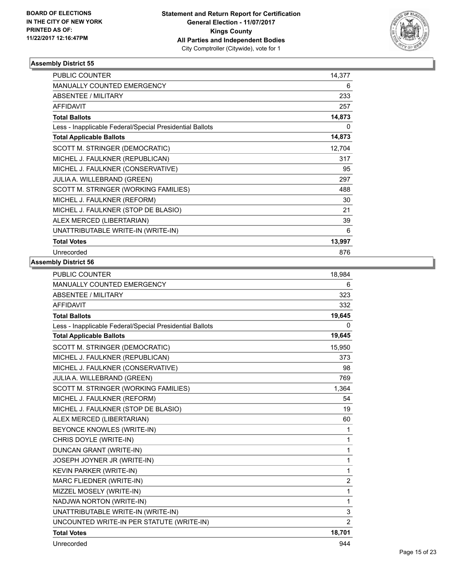

| <b>PUBLIC COUNTER</b>                                    | 14,377 |
|----------------------------------------------------------|--------|
| <b>MANUALLY COUNTED EMERGENCY</b>                        | 6      |
| <b>ABSENTEE / MILITARY</b>                               | 233    |
| <b>AFFIDAVIT</b>                                         | 257    |
| <b>Total Ballots</b>                                     | 14,873 |
| Less - Inapplicable Federal/Special Presidential Ballots | 0      |
| <b>Total Applicable Ballots</b>                          | 14,873 |
| SCOTT M. STRINGER (DEMOCRATIC)                           | 12,704 |
| MICHEL J. FAULKNER (REPUBLICAN)                          | 317    |
| MICHEL J. FAULKNER (CONSERVATIVE)                        | 95     |
| JULIA A. WILLEBRAND (GREEN)                              | 297    |
| SCOTT M. STRINGER (WORKING FAMILIES)                     | 488    |
| MICHEL J. FAULKNER (REFORM)                              | 30     |
| MICHEL J. FAULKNER (STOP DE BLASIO)                      | 21     |
| ALEX MERCED (LIBERTARIAN)                                | 39     |
| UNATTRIBUTABLE WRITE-IN (WRITE-IN)                       | 6      |
| <b>Total Votes</b>                                       | 13,997 |
| Unrecorded                                               | 876    |

| <b>PUBLIC COUNTER</b>                                    | 18,984         |
|----------------------------------------------------------|----------------|
| <b>MANUALLY COUNTED EMERGENCY</b>                        | 6              |
| <b>ABSENTEE / MILITARY</b>                               | 323            |
| <b>AFFIDAVIT</b>                                         | 332            |
| <b>Total Ballots</b>                                     | 19,645         |
| Less - Inapplicable Federal/Special Presidential Ballots | $\mathbf{0}$   |
| <b>Total Applicable Ballots</b>                          | 19,645         |
| SCOTT M. STRINGER (DEMOCRATIC)                           | 15,950         |
| MICHEL J. FAULKNER (REPUBLICAN)                          | 373            |
| MICHEL J. FAULKNER (CONSERVATIVE)                        | 98             |
| JULIA A. WILLEBRAND (GREEN)                              | 769            |
| SCOTT M. STRINGER (WORKING FAMILIES)                     | 1,364          |
| MICHEL J. FAULKNER (REFORM)                              | 54             |
| MICHEL J. FAULKNER (STOP DE BLASIO)                      | 19             |
| ALEX MERCED (LIBERTARIAN)                                | 60             |
| BEYONCE KNOWLES (WRITE-IN)                               | 1              |
| CHRIS DOYLE (WRITE-IN)                                   | 1              |
| <b>DUNCAN GRANT (WRITE-IN)</b>                           | 1              |
| JOSEPH JOYNER JR (WRITE-IN)                              | 1              |
| KEVIN PARKER (WRITE-IN)                                  | 1              |
| MARC FLIEDNER (WRITE-IN)                                 | $\overline{2}$ |
| MIZZEL MOSELY (WRITE-IN)                                 | 1              |
| NADJWA NORTON (WRITE-IN)                                 | 1              |
| UNATTRIBUTABLE WRITE-IN (WRITE-IN)                       | 3              |
| UNCOUNTED WRITE-IN PER STATUTE (WRITE-IN)                | 2              |
| <b>Total Votes</b>                                       | 18,701         |
| Unrecorded                                               | 944            |
|                                                          |                |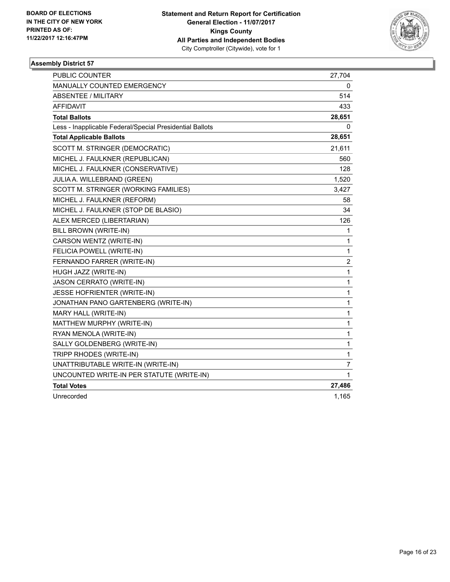

| <b>PUBLIC COUNTER</b>                                    | 27,704         |
|----------------------------------------------------------|----------------|
| MANUALLY COUNTED EMERGENCY                               | 0              |
| <b>ABSENTEE / MILITARY</b>                               | 514            |
| <b>AFFIDAVIT</b>                                         | 433            |
| <b>Total Ballots</b>                                     | 28,651         |
| Less - Inapplicable Federal/Special Presidential Ballots | 0              |
| <b>Total Applicable Ballots</b>                          | 28,651         |
| SCOTT M. STRINGER (DEMOCRATIC)                           | 21,611         |
| MICHEL J. FAULKNER (REPUBLICAN)                          | 560            |
| MICHEL J. FAULKNER (CONSERVATIVE)                        | 128            |
| JULIA A. WILLEBRAND (GREEN)                              | 1,520          |
| SCOTT M. STRINGER (WORKING FAMILIES)                     | 3,427          |
| MICHEL J. FAULKNER (REFORM)                              | 58             |
| MICHEL J. FAULKNER (STOP DE BLASIO)                      | 34             |
| ALEX MERCED (LIBERTARIAN)                                | 126            |
| BILL BROWN (WRITE-IN)                                    | 1              |
| CARSON WENTZ (WRITE-IN)                                  | 1              |
| FELICIA POWELL (WRITE-IN)                                | 1              |
| FERNANDO FARRER (WRITE-IN)                               | 2              |
| HUGH JAZZ (WRITE-IN)                                     | 1              |
| <b>JASON CERRATO (WRITE-IN)</b>                          | 1              |
| JESSE HOFRIENTER (WRITE-IN)                              | 1              |
| JONATHAN PANO GARTENBERG (WRITE-IN)                      | 1              |
| MARY HALL (WRITE-IN)                                     | 1              |
| MATTHEW MURPHY (WRITE-IN)                                | 1              |
| RYAN MENOLA (WRITE-IN)                                   | 1              |
| SALLY GOLDENBERG (WRITE-IN)                              | 1              |
| TRIPP RHODES (WRITE-IN)                                  | 1              |
| UNATTRIBUTABLE WRITE-IN (WRITE-IN)                       | $\overline{7}$ |
| UNCOUNTED WRITE-IN PER STATUTE (WRITE-IN)                | 1              |
| <b>Total Votes</b>                                       | 27,486         |
| Unrecorded                                               | 1,165          |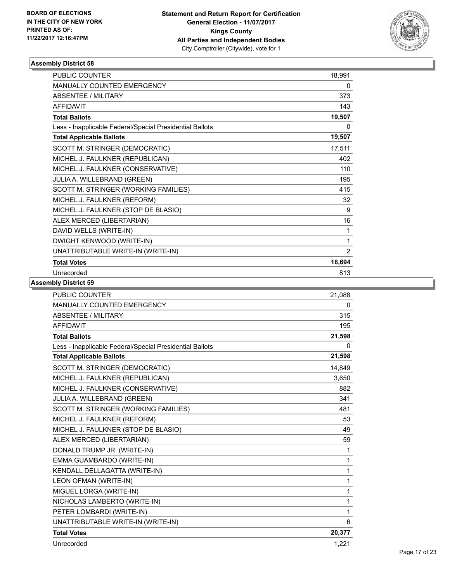

| <b>PUBLIC COUNTER</b>                                    | 18,991         |
|----------------------------------------------------------|----------------|
| <b>MANUALLY COUNTED EMERGENCY</b>                        | 0              |
| <b>ABSENTEE / MILITARY</b>                               | 373            |
| <b>AFFIDAVIT</b>                                         | 143            |
| <b>Total Ballots</b>                                     | 19,507         |
| Less - Inapplicable Federal/Special Presidential Ballots | 0              |
| <b>Total Applicable Ballots</b>                          | 19,507         |
| SCOTT M. STRINGER (DEMOCRATIC)                           | 17,511         |
| MICHEL J. FAULKNER (REPUBLICAN)                          | 402            |
| MICHEL J. FAULKNER (CONSERVATIVE)                        | 110            |
| JULIA A. WILLEBRAND (GREEN)                              | 195            |
| SCOTT M. STRINGER (WORKING FAMILIES)                     | 415            |
| MICHEL J. FAULKNER (REFORM)                              | 32             |
| MICHEL J. FAULKNER (STOP DE BLASIO)                      | 9              |
| ALEX MERCED (LIBERTARIAN)                                | 16             |
| DAVID WELLS (WRITE-IN)                                   | 1              |
| DWIGHT KENWOOD (WRITE-IN)                                | 1              |
| UNATTRIBUTABLE WRITE-IN (WRITE-IN)                       | $\overline{2}$ |
| <b>Total Votes</b>                                       | 18,694         |
| Unrecorded                                               | 813            |

| <b>PUBLIC COUNTER</b>                                    | 21,088       |
|----------------------------------------------------------|--------------|
| MANUALLY COUNTED EMERGENCY                               | 0            |
| <b>ABSENTEE / MILITARY</b>                               | 315          |
| <b>AFFIDAVIT</b>                                         | 195          |
| <b>Total Ballots</b>                                     | 21,598       |
| Less - Inapplicable Federal/Special Presidential Ballots | 0            |
| <b>Total Applicable Ballots</b>                          | 21,598       |
| SCOTT M. STRINGER (DEMOCRATIC)                           | 14,849       |
| MICHEL J. FAULKNER (REPUBLICAN)                          | 3.650        |
| MICHEL J. FAULKNER (CONSERVATIVE)                        | 882          |
| JULIA A. WILLEBRAND (GREEN)                              | 341          |
| SCOTT M. STRINGER (WORKING FAMILIES)                     | 481          |
| MICHEL J. FAULKNER (REFORM)                              | 53           |
| MICHEL J. FAULKNER (STOP DE BLASIO)                      | 49           |
| ALEX MERCED (LIBERTARIAN)                                | 59           |
| DONALD TRUMP JR. (WRITE-IN)                              | $\mathbf{1}$ |
| EMMA GUAMBARDO (WRITE-IN)                                | $\mathbf{1}$ |
| KENDALL DELLAGATTA (WRITE-IN)                            | 1            |
| LEON OFMAN (WRITE-IN)                                    | 1            |
| MIGUEL LORGA (WRITE-IN)                                  | $\mathbf{1}$ |
| NICHOLAS LAMBERTO (WRITE-IN)                             | 1            |
| PETER LOMBARDI (WRITE-IN)                                | $\mathbf{1}$ |
| UNATTRIBUTABLE WRITE-IN (WRITE-IN)                       | 6            |
| <b>Total Votes</b>                                       | 20,377       |
| Unrecorded                                               | 1,221        |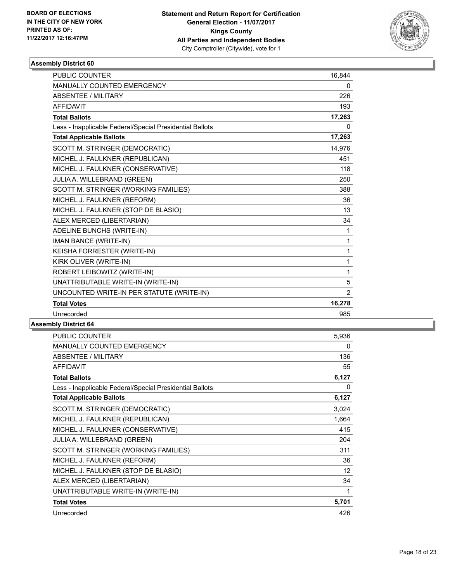

| <b>PUBLIC COUNTER</b>                                    | 16,844         |
|----------------------------------------------------------|----------------|
| MANUALLY COUNTED EMERGENCY                               | 0              |
| <b>ABSENTEE / MILITARY</b>                               | 226            |
| <b>AFFIDAVIT</b>                                         | 193            |
| <b>Total Ballots</b>                                     | 17,263         |
| Less - Inapplicable Federal/Special Presidential Ballots | 0              |
| <b>Total Applicable Ballots</b>                          | 17,263         |
| SCOTT M. STRINGER (DEMOCRATIC)                           | 14,976         |
| MICHEL J. FAULKNER (REPUBLICAN)                          | 451            |
| MICHEL J. FAULKNER (CONSERVATIVE)                        | 118            |
| JULIA A. WILLEBRAND (GREEN)                              | 250            |
| SCOTT M. STRINGER (WORKING FAMILIES)                     | 388            |
| MICHEL J. FAULKNER (REFORM)                              | 36             |
| MICHEL J. FAULKNER (STOP DE BLASIO)                      | 13             |
| ALEX MERCED (LIBERTARIAN)                                | 34             |
| ADELINE BUNCHS (WRITE-IN)                                | 1              |
| IMAN BANCE (WRITE-IN)                                    | $\mathbf{1}$   |
| KEISHA FORRESTER (WRITE-IN)                              | 1              |
| KIRK OLIVER (WRITE-IN)                                   | 1              |
| ROBERT LEIBOWITZ (WRITE-IN)                              | 1              |
| UNATTRIBUTABLE WRITE-IN (WRITE-IN)                       | 5              |
| UNCOUNTED WRITE-IN PER STATUTE (WRITE-IN)                | $\overline{2}$ |
| <b>Total Votes</b>                                       | 16,278         |
| Unrecorded                                               | 985            |

| PUBLIC COUNTER                                           | 5,936 |
|----------------------------------------------------------|-------|
| <b>MANUALLY COUNTED EMERGENCY</b>                        | 0     |
| ABSENTEE / MILITARY                                      | 136   |
| <b>AFFIDAVIT</b>                                         | 55    |
| <b>Total Ballots</b>                                     | 6,127 |
| Less - Inapplicable Federal/Special Presidential Ballots | 0     |
| <b>Total Applicable Ballots</b>                          | 6,127 |
| SCOTT M. STRINGER (DEMOCRATIC)                           | 3,024 |
| MICHEL J. FAULKNER (REPUBLICAN)                          | 1,664 |
| MICHEL J. FAULKNER (CONSERVATIVE)                        | 415   |
| <b>JULIA A. WILLEBRAND (GREEN)</b>                       | 204   |
| SCOTT M. STRINGER (WORKING FAMILIES)                     | 311   |
| MICHEL J. FAULKNER (REFORM)                              | 36    |
| MICHEL J. FAULKNER (STOP DE BLASIO)                      | 12    |
| ALEX MERCED (LIBERTARIAN)                                | 34    |
| UNATTRIBUTABLE WRITE-IN (WRITE-IN)                       | 1     |
| <b>Total Votes</b>                                       | 5,701 |
| Unrecorded                                               | 426   |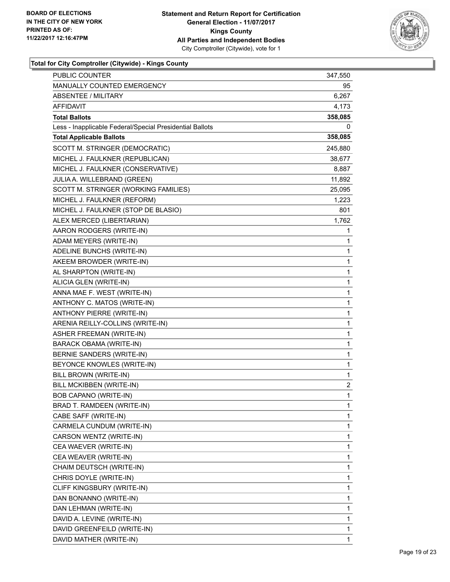

| <b>PUBLIC COUNTER</b>                                    | 347,550 |
|----------------------------------------------------------|---------|
| MANUALLY COUNTED EMERGENCY                               | 95      |
| <b>ABSENTEE / MILITARY</b>                               | 6,267   |
| AFFIDAVIT                                                | 4,173   |
| <b>Total Ballots</b>                                     | 358,085 |
| Less - Inapplicable Federal/Special Presidential Ballots | 0       |
| <b>Total Applicable Ballots</b>                          | 358,085 |
| SCOTT M. STRINGER (DEMOCRATIC)                           | 245,880 |
| MICHEL J. FAULKNER (REPUBLICAN)                          | 38,677  |
| MICHEL J. FAULKNER (CONSERVATIVE)                        | 8,887   |
| JULIA A. WILLEBRAND (GREEN)                              | 11,892  |
| SCOTT M. STRINGER (WORKING FAMILIES)                     | 25,095  |
| MICHEL J. FAULKNER (REFORM)                              | 1,223   |
| MICHEL J. FAULKNER (STOP DE BLASIO)                      | 801     |
| ALEX MERCED (LIBERTARIAN)                                | 1,762   |
| AARON RODGERS (WRITE-IN)                                 | 1       |
| ADAM MEYERS (WRITE-IN)                                   | 1       |
| ADELINE BUNCHS (WRITE-IN)                                | 1       |
| AKEEM BROWDER (WRITE-IN)                                 | 1       |
| AL SHARPTON (WRITE-IN)                                   | 1       |
| ALICIA GLEN (WRITE-IN)                                   | 1       |
| ANNA MAE F. WEST (WRITE-IN)                              | 1       |
| ANTHONY C. MATOS (WRITE-IN)                              | 1       |
| ANTHONY PIERRE (WRITE-IN)                                | 1       |
| ARENIA REILLY-COLLINS (WRITE-IN)                         | 1       |
| <b>ASHER FREEMAN (WRITE-IN)</b>                          | 1       |
| BARACK OBAMA (WRITE-IN)                                  | 1       |
| BERNIE SANDERS (WRITE-IN)                                | 1       |
| BEYONCE KNOWLES (WRITE-IN)                               | 1       |
| BILL BROWN (WRITE-IN)                                    | 1       |
| BILL MCKIBBEN (WRITE-IN)                                 | 2       |
| <b>BOB CAPANO (WRITE-IN)</b>                             | 1       |
| BRAD T. RAMDEEN (WRITE-IN)                               | 1       |
| CABE SAFF (WRITE-IN)                                     | 1       |
| CARMELA CUNDUM (WRITE-IN)                                | 1       |
| CARSON WENTZ (WRITE-IN)                                  | 1       |
| CEA WAEVER (WRITE-IN)                                    | 1       |
| CEA WEAVER (WRITE-IN)                                    | 1       |
| CHAIM DEUTSCH (WRITE-IN)                                 | 1       |
| CHRIS DOYLE (WRITE-IN)                                   | 1       |
| CLIFF KINGSBURY (WRITE-IN)                               | 1       |
| DAN BONANNO (WRITE-IN)                                   | 1       |
| DAN LEHMAN (WRITE-IN)                                    | 1       |
| DAVID A. LEVINE (WRITE-IN)                               | 1       |
| DAVID GREENFEILD (WRITE-IN)                              | 1       |
| DAVID MATHER (WRITE-IN)                                  | 1       |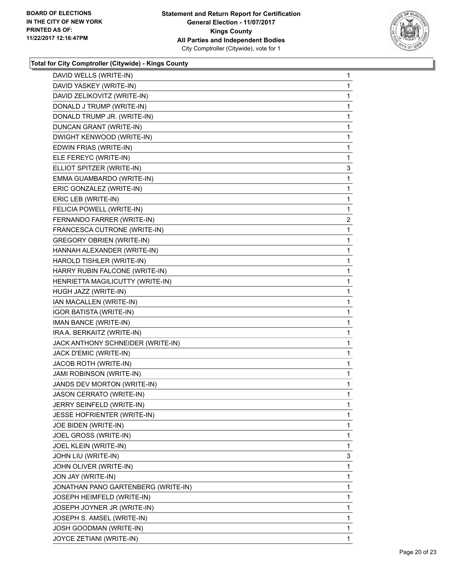

| DAVID WELLS (WRITE-IN)              | 1            |
|-------------------------------------|--------------|
| DAVID YASKEY (WRITE-IN)             | 1            |
| DAVID ZELIKOVITZ (WRITE-IN)         | 1            |
| DONALD J TRUMP (WRITE-IN)           | 1            |
| DONALD TRUMP JR. (WRITE-IN)         | 1            |
| DUNCAN GRANT (WRITE-IN)             | 1            |
| DWIGHT KENWOOD (WRITE-IN)           | 1            |
| EDWIN FRIAS (WRITE-IN)              | 1            |
| ELE FEREYC (WRITE-IN)               | 1            |
| ELLIOT SPITZER (WRITE-IN)           | 3            |
| EMMA GUAMBARDO (WRITE-IN)           | 1            |
| ERIC GONZALEZ (WRITE-IN)            | 1            |
| ERIC LEB (WRITE-IN)                 | 1            |
| FELICIA POWELL (WRITE-IN)           | 1            |
| FERNANDO FARRER (WRITE-IN)          | 2            |
| FRANCESCA CUTRONE (WRITE-IN)        | 1            |
| <b>GREGORY OBRIEN (WRITE-IN)</b>    | 1            |
| HANNAH ALEXANDER (WRITE-IN)         | 1            |
| HAROLD TISHLER (WRITE-IN)           | 1            |
| HARRY RUBIN FALCONE (WRITE-IN)      | 1            |
| HENRIETTA MAGILICUTTY (WRITE-IN)    | 1            |
| HUGH JAZZ (WRITE-IN)                | 1            |
| IAN MACALLEN (WRITE-IN)             | 1            |
| <b>IGOR BATISTA (WRITE-IN)</b>      | 1            |
| IMAN BANCE (WRITE-IN)               | 1            |
| IRA A. BERKAITZ (WRITE-IN)          | 1            |
| JACK ANTHONY SCHNEIDER (WRITE-IN)   | 1            |
| JACK D'EMIC (WRITE-IN)              | 1            |
| JACOB ROTH (WRITE-IN)               | 1            |
| <b>JAMI ROBINSON (WRITE-IN)</b>     | 1            |
| JANDS DEV MORTON (WRITE-IN)         | 1            |
| <b>JASON CERRATO (WRITE-IN)</b>     | $\mathbf{1}$ |
| JERRY SEINFELD (WRITE-IN)           | 1            |
| JESSE HOFRIENTER (WRITE-IN)         | 1            |
| JOE BIDEN (WRITE-IN)                | 1            |
| JOEL GROSS (WRITE-IN)               | 1            |
| JOEL KLEIN (WRITE-IN)               | 1            |
| JOHN LIU (WRITE-IN)                 | 3            |
| JOHN OLIVER (WRITE-IN)              | 1            |
| JON JAY (WRITE-IN)                  | 1            |
| JONATHAN PANO GARTENBERG (WRITE-IN) | 1            |
| JOSEPH HEIMFELD (WRITE-IN)          | 1            |
| JOSEPH JOYNER JR (WRITE-IN)         | 1            |
| JOSEPH S. AMSEL (WRITE-IN)          | 1            |
| JOSH GOODMAN (WRITE-IN)             | 1            |
| JOYCE ZETIANI (WRITE-IN)            | 1            |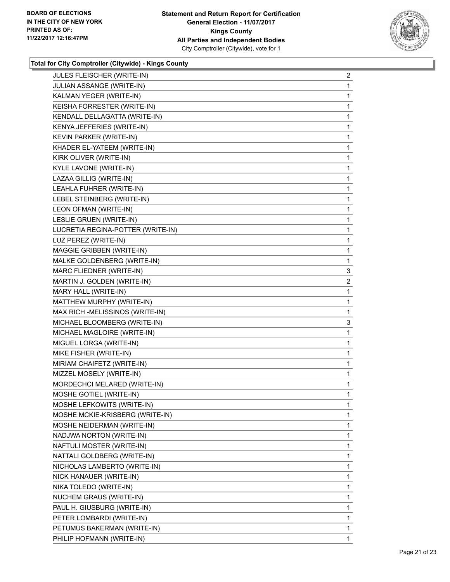

| JULES FLEISCHER (WRITE-IN)        | $\overline{a}$ |
|-----------------------------------|----------------|
| JULIAN ASSANGE (WRITE-IN)         | 1              |
| KALMAN YEGER (WRITE-IN)           | 1              |
| KEISHA FORRESTER (WRITE-IN)       | 1              |
| KENDALL DELLAGATTA (WRITE-IN)     | 1              |
| KENYA JEFFERIES (WRITE-IN)        | 1              |
| KEVIN PARKER (WRITE-IN)           | 1              |
| KHADER EL-YATEEM (WRITE-IN)       | 1              |
| KIRK OLIVER (WRITE-IN)            | 1              |
| KYLE LAVONE (WRITE-IN)            | 1              |
| LAZAA GILLIG (WRITE-IN)           | 1              |
| LEAHLA FUHRER (WRITE-IN)          | 1              |
| LEBEL STEINBERG (WRITE-IN)        | 1              |
| LEON OFMAN (WRITE-IN)             | 1              |
| LESLIE GRUEN (WRITE-IN)           | 1              |
| LUCRETIA REGINA-POTTER (WRITE-IN) | 1              |
| LUZ PEREZ (WRITE-IN)              | 1              |
| MAGGIE GRIBBEN (WRITE-IN)         | 1              |
| MALKE GOLDENBERG (WRITE-IN)       | 1              |
| MARC FLIEDNER (WRITE-IN)          | 3              |
| MARTIN J. GOLDEN (WRITE-IN)       | 2              |
| MARY HALL (WRITE-IN)              | 1              |
| MATTHEW MURPHY (WRITE-IN)         | 1              |
| MAX RICH -MELISSINOS (WRITE-IN)   | 1              |
| MICHAEL BLOOMBERG (WRITE-IN)      | 3              |
| MICHAEL MAGLOIRE (WRITE-IN)       | 1              |
| MIGUEL LORGA (WRITE-IN)           | 1              |
| MIKE FISHER (WRITE-IN)            | 1              |
| MIRIAM CHAIFETZ (WRITE-IN)        | 1              |
| MIZZEL MOSELY (WRITE-IN)          | 1              |
| MORDECHCI MELARED (WRITE-IN)      | 1              |
| MOSHE GOTIEL (WRITE-IN)           | 1              |
| MOSHE LEFKOWITS (WRITE-IN)        | 1              |
| MOSHE MCKIE-KRISBERG (WRITE-IN)   | 1              |
| MOSHE NEIDERMAN (WRITE-IN)        | 1              |
| NADJWA NORTON (WRITE-IN)          | 1              |
| NAFTULI MOSTER (WRITE-IN)         | 1              |
| NATTALI GOLDBERG (WRITE-IN)       | 1              |
| NICHOLAS LAMBERTO (WRITE-IN)      | 1              |
| NICK HANAUER (WRITE-IN)           | 1              |
| NIKA TOLEDO (WRITE-IN)            | 1              |
| NUCHEM GRAUS (WRITE-IN)           | 1              |
| PAUL H. GIUSBURG (WRITE-IN)       | 1              |
| PETER LOMBARDI (WRITE-IN)         | 1              |
| PETUMUS BAKERMAN (WRITE-IN)       | 1              |
| PHILIP HOFMANN (WRITE-IN)         | 1              |
|                                   |                |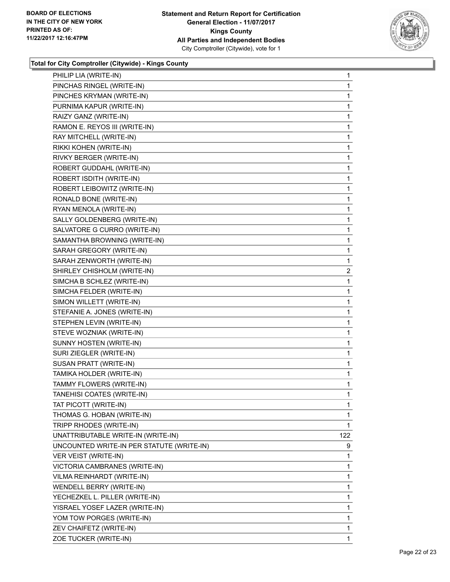

| PHILIP LIA (WRITE-IN)                     | 1            |
|-------------------------------------------|--------------|
| PINCHAS RINGEL (WRITE-IN)                 | 1            |
| PINCHES KRYMAN (WRITE-IN)                 | $\mathbf{1}$ |
| PURNIMA KAPUR (WRITE-IN)                  | 1            |
| RAIZY GANZ (WRITE-IN)                     | 1            |
| RAMON E. REYOS III (WRITE-IN)             | 1            |
| RAY MITCHELL (WRITE-IN)                   | 1            |
| RIKKI KOHEN (WRITE-IN)                    | 1            |
| RIVKY BERGER (WRITE-IN)                   | $\mathbf{1}$ |
| ROBERT GUDDAHL (WRITE-IN)                 | 1            |
| ROBERT ISDITH (WRITE-IN)                  | 1            |
| ROBERT LEIBOWITZ (WRITE-IN)               | 1            |
| RONALD BONE (WRITE-IN)                    | 1            |
| RYAN MENOLA (WRITE-IN)                    | 1            |
| SALLY GOLDENBERG (WRITE-IN)               | $\mathbf 1$  |
| SALVATORE G CURRO (WRITE-IN)              | 1            |
| SAMANTHA BROWNING (WRITE-IN)              | 1            |
| SARAH GREGORY (WRITE-IN)                  | 1            |
| SARAH ZENWORTH (WRITE-IN)                 | 1            |
| SHIRLEY CHISHOLM (WRITE-IN)               | 2            |
| SIMCHA B SCHLEZ (WRITE-IN)                | $\mathbf 1$  |
| SIMCHA FELDER (WRITE-IN)                  | 1            |
| SIMON WILLETT (WRITE-IN)                  | 1            |
| STEFANIE A. JONES (WRITE-IN)              | 1            |
| STEPHEN LEVIN (WRITE-IN)                  | 1            |
| STEVE WOZNIAK (WRITE-IN)                  | 1            |
| SUNNY HOSTEN (WRITE-IN)                   | $\mathbf 1$  |
| SURI ZIEGLER (WRITE-IN)                   | 1            |
| SUSAN PRATT (WRITE-IN)                    | 1            |
| TAMIKA HOLDER (WRITE-IN)                  | 1            |
| TAMMY FLOWERS (WRITE-IN)                  | 1            |
| TANEHISI COATES (WRITE-IN)                | 1            |
| TAT PICOTT (WRITE-IN)                     | 1            |
| THOMAS G. HOBAN (WRITE-IN)                | 1            |
| TRIPP RHODES (WRITE-IN)                   | 1            |
| UNATTRIBUTABLE WRITE-IN (WRITE-IN)        | 122          |
| UNCOUNTED WRITE-IN PER STATUTE (WRITE-IN) | 9            |
| VER VEIST (WRITE-IN)                      | 1            |
| VICTORIA CAMBRANES (WRITE-IN)             | 1            |
| VILMA REINHARDT (WRITE-IN)                | 1            |
| WENDELL BERRY (WRITE-IN)                  | 1            |
| YECHEZKEL L. PILLER (WRITE-IN)            | 1            |
| YISRAEL YOSEF LAZER (WRITE-IN)            | 1            |
| YOM TOW PORGES (WRITE-IN)                 | 1            |
| ZEV CHAIFETZ (WRITE-IN)                   | 1            |
| ZOE TUCKER (WRITE-IN)                     | 1            |